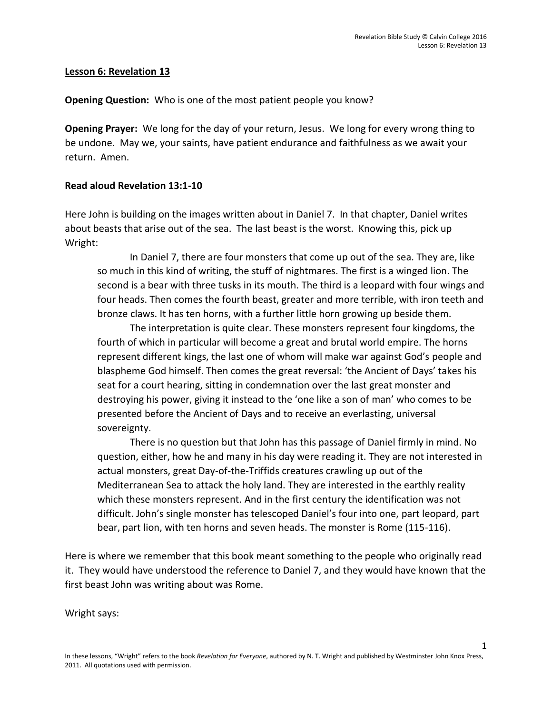## **Lesson 6: Revelation 13**

**Opening Question:** Who is one of the most patient people you know?

**Opening Prayer:** We long for the day of your return, Jesus. We long for every wrong thing to be undone. May we, your saints, have patient endurance and faithfulness as we await your return. Amen.

# **Read aloud Revelation 13:1-10**

Here John is building on the images written about in Daniel 7. In that chapter, Daniel writes about beasts that arise out of the sea. The last beast is the worst. Knowing this, pick up Wright:

In Daniel 7, there are four monsters that come up out of the sea. They are, like so much in this kind of writing, the stuff of nightmares. The first is a winged lion. The second is a bear with three tusks in its mouth. The third is a leopard with four wings and four heads. Then comes the fourth beast, greater and more terrible, with iron teeth and bronze claws. It has ten horns, with a further little horn growing up beside them.

The interpretation is quite clear. These monsters represent four kingdoms, the fourth of which in particular will become a great and brutal world empire. The horns represent different kings, the last one of whom will make war against God's people and blaspheme God himself. Then comes the great reversal: 'the Ancient of Days' takes his seat for a court hearing, sitting in condemnation over the last great monster and destroying his power, giving it instead to the 'one like a son of man' who comes to be presented before the Ancient of Days and to receive an everlasting, universal sovereignty.

There is no question but that John has this passage of Daniel firmly in mind. No question, either, how he and many in his day were reading it. They are not interested in actual monsters, great Day-of-the-Triffids creatures crawling up out of the Mediterranean Sea to attack the holy land. They are interested in the earthly reality which these monsters represent. And in the first century the identification was not difficult. John's single monster has telescoped Daniel's four into one, part leopard, part bear, part lion, with ten horns and seven heads. The monster is Rome (115-116).

Here is where we remember that this book meant something to the people who originally read it. They would have understood the reference to Daniel 7, and they would have known that the first beast John was writing about was Rome.

Wright says: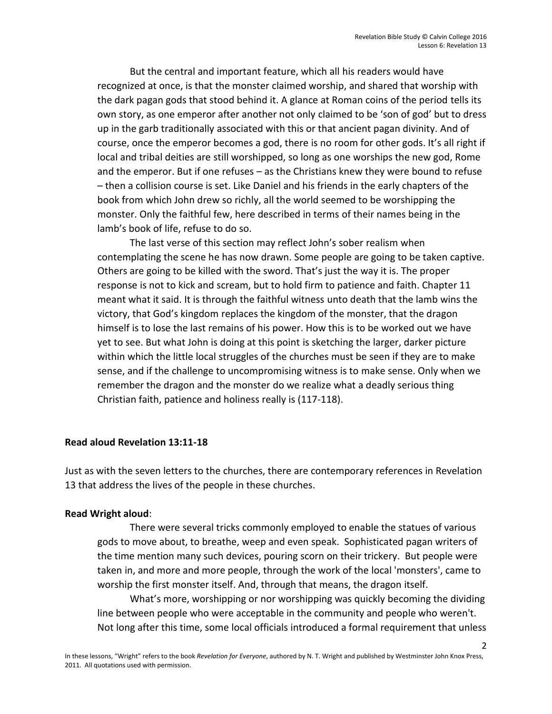2

But the central and important feature, which all his readers would have recognized at once, is that the monster claimed worship, and shared that worship with the dark pagan gods that stood behind it. A glance at Roman coins of the period tells its own story, as one emperor after another not only claimed to be 'son of god' but to dress up in the garb traditionally associated with this or that ancient pagan divinity. And of course, once the emperor becomes a god, there is no room for other gods. It's all right if local and tribal deities are still worshipped, so long as one worships the new god, Rome and the emperor. But if one refuses – as the Christians knew they were bound to refuse – then a collision course is set. Like Daniel and his friends in the early chapters of the book from which John drew so richly, all the world seemed to be worshipping the monster. Only the faithful few, here described in terms of their names being in the lamb's book of life, refuse to do so.

The last verse of this section may reflect John's sober realism when contemplating the scene he has now drawn. Some people are going to be taken captive. Others are going to be killed with the sword. That's just the way it is. The proper response is not to kick and scream, but to hold firm to patience and faith. Chapter 11 meant what it said. It is through the faithful witness unto death that the lamb wins the victory, that God's kingdom replaces the kingdom of the monster, that the dragon himself is to lose the last remains of his power. How this is to be worked out we have yet to see. But what John is doing at this point is sketching the larger, darker picture within which the little local struggles of the churches must be seen if they are to make sense, and if the challenge to uncompromising witness is to make sense. Only when we remember the dragon and the monster do we realize what a deadly serious thing Christian faith, patience and holiness really is (117-118).

# **Read aloud Revelation 13:11-18**

Just as with the seven letters to the churches, there are contemporary references in Revelation 13 that address the lives of the people in these churches.

# **Read Wright aloud**:

There were several tricks commonly employed to enable the statues of various gods to move about, to breathe, weep and even speak. Sophisticated pagan writers of the time mention many such devices, pouring scorn on their trickery. But people were taken in, and more and more people, through the work of the local 'monsters', came to worship the first monster itself. And, through that means, the dragon itself.

What's more, worshipping or nor worshipping was quickly becoming the dividing line between people who were acceptable in the community and people who weren't. Not long after this time, some local officials introduced a formal requirement that unless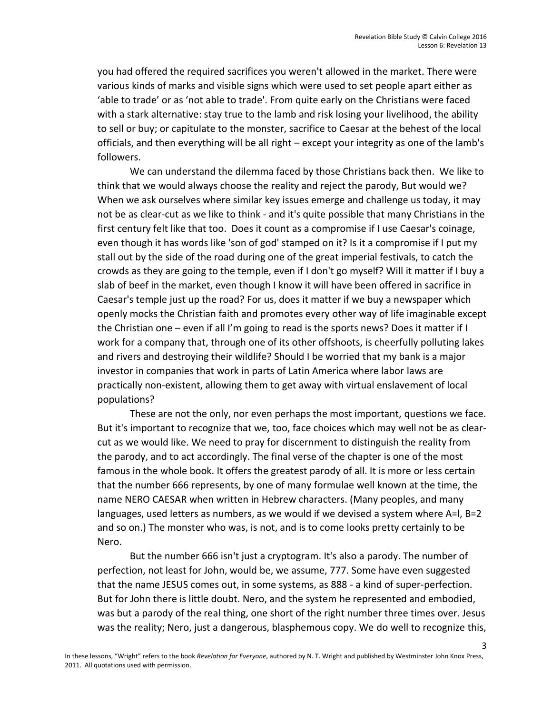you had offered the required sacrifices you weren't allowed in the market. There were various kinds of marks and visible signs which were used to set people apart either as 'able to trade' or as 'not able to trade'. From quite early on the Christians were faced with a stark alternative: stay true to the lamb and risk losing your livelihood, the ability to sell or buy; or capitulate to the monster, sacrifice to Caesar at the behest of the local officials, and then everything will be all right – except your integrity as one of the lamb's followers.

We can understand the dilemma faced by those Christians back then. We like to think that we would always choose the reality and reject the parody, But would we? When we ask ourselves where similar key issues emerge and challenge us today, it may not be as clear-cut as we like to think - and it's quite possible that many Christians in the first century felt like that too. Does it count as a compromise if I use Caesar's coinage, even though it has words like 'son of god' stamped on it? Is it a compromise if I put my stall out by the side of the road during one of the great imperial festivals, to catch the crowds as they are going to the temple, even if I don't go myself? Will it matter if I buy a slab of beef in the market, even though I know it will have been offered in sacrifice in Caesar's temple just up the road? For us, does it matter if we buy a newspaper which openly mocks the Christian faith and promotes every other way of life imaginable except the Christian one – even if all I'm going to read is the sports news? Does it matter if I work for a company that, through one of its other offshoots, is cheerfully polluting lakes and rivers and destroying their wildlife? Should I be worried that my bank is a major investor in companies that work in parts of Latin America where labor laws are practically non-existent, allowing them to get away with virtual enslavement of local populations?

These are not the only, nor even perhaps the most important, questions we face. But it's important to recognize that we, too, face choices which may well not be as clearcut as we would like. We need to pray for discernment to distinguish the reality from the parody, and to act accordingly. The final verse of the chapter is one of the most famous in the whole book. It offers the greatest parody of all. It is more or less certain that the number 666 represents, by one of many formulae well known at the time, the name NERO CAESAR when written in Hebrew characters. (Many peoples, and many languages, used letters as numbers, as we would if we devised a system where A=l, B=2 and so on.) The monster who was, is not, and is to come looks pretty certainly to be Nero.

But the number 666 isn't just a cryptogram. It's also a parody. The number of perfection, not least for John, would be, we assume, 777. Some have even suggested that the name JESUS comes out, in some systems, as 888 - a kind of super-perfection. But for John there is little doubt. Nero, and the system he represented and embodied, was but a parody of the real thing, one short of the right number three times over. Jesus was the reality; Nero, just a dangerous, blasphemous copy. We do well to recognize this,